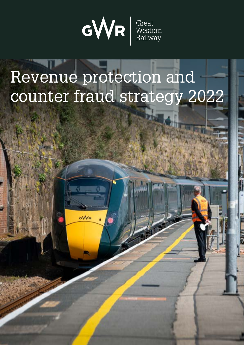

# Revenue protection and counter fraud strategy 2022

GWR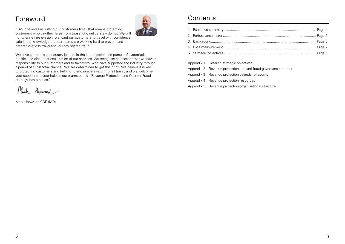### Foreword

"GWR believes in putting our customers first. That means protecting customers who pay their fares from those who deliberately do not. We will not tolerate fare evasion, we want our customers to travel with confidence, safe in the knowledge that our teams are working hard to prevent and detect ticketless travel and journey related fraud.

We have set out to be industry leaders in the identification and pursuit of systematic, prolific, and dishonest exploitation of our services. We recognise and accept that we have a responsibility to our customers and to taxpayers, who have supported the industry through a period of substantial change. We are determined to get this right. We believe it is key to protecting customers and helping to encourage a return to rail travel, and we welcome your support and your help as our teams put this Revenue Protection and Counter Fraud strategy into practice."

Mark Hopwood

Mark Hopwood CBE (MD)



### Contents

| Appendix 1 Detailed strategic objectives |  |
|------------------------------------------|--|

| postality is produced building to produce the contract of the contract of the contract of the contract of the c |
|-----------------------------------------------------------------------------------------------------------------|
| Appendix 2 Revenue protection and anti-fraud gove                                                               |
| Appendix 3 Revenue protection calendar of events                                                                |
| Appendix 4 Revenue protection resources                                                                         |
| Appendix 5 Revenue protection organisational stru                                                               |

d governance structure

al structure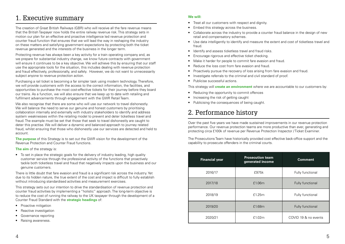### 1. Executive summary

The creation of Great British Railways (GBR) who will receive all the fare revenue means that the British Taxpayer now holds the entire railway revenue risk. This strategy sets in motion our plan for an effective and proactive intelligence led revenue protection and counter fraud function that ensures that we will lead the way in reshaping the industry on these matters and satisfying government expectations by protecting both the ticket revenue generated and the interests of the business in the longer term.

Protecting revenue has always been a key activity for a train operating company and, as we prepare for substantial industry change, we know future contracts with government will ensure it continues to be a key objective. We will achieve this by ensuring that our staff use the appropriate tools for the situation, this includes dealing with revenue protection and fraud effectively, professionally, and safely. However, we do not want to unnecessarily subject anyone to revenue protection action.

We also recognise that there are some who will use our network to travel dishonestly. We will balance the need to serve our genuine and honest customers by prioritising collaboration internally and externally with industry stakeholders to identify and address system weaknesses within the retailing model to prevent and deter ticketless travel and fraud. The example must be set that those that seek to travel dishonestly are caught to deter this practise. We will deliver a dynamic and balanced approach to journey related fraud, whilst ensuring that those who dishonestly use our services are detected and held to account.

Purchasing a rail ticket is becoming a far simpler task using modern technology. Therefore, we will provide customers with the access to the correct information, the facilities, and opportunities to purchase the most cost-effective tickets for their journey before they board our trains. As a function, we will also ensure that we keep up to date with retailing and fulfilment advancements through engagement with the GWR Retail Team.

- Proactive mitigation
- Reactive investigation
- Governance reporting
- Raising awareness.
- Treat all our customers with respect and dignity.
- Embed this strategy across the business.
- Collaborate across the industry to provide a counter fraud balance in the design of new retail and compensatory schemes.
- Use data intelligently to identify and measure the extent and cost of ticketless travel and fraud.
- Identify and assess ticketless travel and fraud risks.
- Encourage rigorous and effective ticket checking.
- Make it harder for people to commit fare evasion and fraud.
- Reduce the loss cost from fare evasion and fraud.
- Proactively pursue the recovery of loss arising from fare evasion and fraud.
- Investigate referrals to the criminal and civil standard of proof.
- Publicise successful actions.

**The purpose** of this Strategy is to set out the GWR vision for the development of the Revenue Protection and Counter Fraud functions.

**The aim** of the strategy is:

• To set in place the strategic goals for the delivery of industry leading, high quality customer service through the professional activity of the functions that proactively tackle both ticketless travel and fraud that negatively impacts upon the business and our genuine customers.

There is little doubt that fare evasion and fraud is a significant risk across the industry. Yet due to its hidden nature, the true extent of the cost and impact is difficult to fully establish without introducing standardised activities and measurement exercises.

This strategy sets out our intention to drive the standardisation of revenue protection and counter fraud activities by implementing a "holistic" approach. The long-term objective is to reduce the cost of running the railway to the UK taxpayer through the development of a Counter Fraud Standard with the **strategic headings** of:

### **We will:**

#### This strategy will **create an environment** where we are accountable to our customers by:

- Reducing the opportunity to commit offences
- Increasing the risk of getting caught
- Publicising the consequences of being caught.

## 2. Performance history

Over the past five years we have made sustained improvements in our revenue protection performance. Our revenue protection teams are more productive than ever, generating and protecting circa £100k of revenue per Revenue Protection Inspector / Ticket Examiner.

The Prosecutions Team have historically provided cost effective back-office support and the capability to prosecute offenders in the criminal courts.

| <b>Financial year</b> | <b>Prosecution team</b><br>generated income | <b>Comment</b>       |
|-----------------------|---------------------------------------------|----------------------|
| 2016/17               | £975k                                       | Fully functional     |
| 2017/18               | £1.06m                                      | Fully functional     |
| 2018/19               | £1.25m                                      | Fully functional     |
| 2019/20               | £1.68m                                      | Fully functional     |
| 2020/21               | £1.02m                                      | COVID 19 & no events |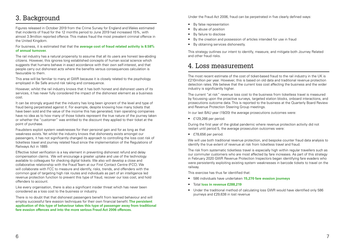### 3. Background

Figures released in October 2019 from the Crime Survey for England and Wales estimated that incidents of fraud for the 12 months period to June 2019 had increased 15%, with almost 3.9million reported offence. This makes fraud the most prevalent criminal offence in the United Kingdom.

For business, it is estimated that that the **average cost of fraud related activity is 8.58% of annual turnover.**

The rail industry has a natural propensity to assume that all its users are honest law-abiding citizens. However, this ignores long established concepts of human social science which suggests that humans behave in exact accordance with their own self-interest, and that people carry out dishonest acts where the benefits versus consequences calculation is favourable to them.

It can be strongly argued that the industry has long been ignorant of the level and type of fraud being perpetrated against it. For example, despite knowing how many tickets that have been sold and the value of the income this has generated, train operating companies have no idea as to how many of those tickets represent the true nature of the journey taken or whether the "customer" was entitled to the discount they applied to their ticket at the point of purchase.

This area will be familiar to many at GWR because it is closely related to the psychology employed in Be Safe around risk taking and consequence.

However, whilst the rail industry knows that it has both honest and dishonest users of its services, it has never fully considered the impact of the dishonest element as a business cost.

Fraudsters exploit system weaknesses for their personal gain and for as long as that weakness exists. Yet whilst the industry knows that dishonesty exists amongst our passengers, it has not significantly changed its approach to controlling the loss cost risk of ticketless travel and journey related fraud since the implementation of the Regulations of Railways Act in 1889.

Effective ticket verification is a key element in preventing dishonest refund and delay compensation claims. We will encourage a greater uptake and use of the technology available to colleagues for checking digital tickets. We also will develop a close and collaborative relationship with the Fraud Team at our First Contact Centre (FCC). We will collaborate with FCC to measure and identify, risks, trends, and offenders with the common goal of targeting high risk routes and individuals as part of an intelligence led revenue protection function to prevent this type of fraud, recover our loss cost, and hold offenders to account.

Like every organisation, there is also a significant insider threat which has never been considered as a loss cost to the business or industry.

There is no doubt that that dishonest passengers benefit from learned behaviour and will employ successful fare evasion techniques for their own financial benefit. **The persistent application of this type of behaviour takes this type of passenger away from traditional fare evasion offences and into the more serious Fraud Act 2006 offences.** 

Under the Fraud Act 2006, fraud can be perpetrated in five clearly defined ways:

- By false representation
- By abuse of position
- By failure to disclose
- By the creation and possession of articles intended for use in fraud
- By obtaining services dishonestly.

This strategy outlines our intent to identify, measure, and mitigate both Journey Related and other fraud risks.

### 4. Loss measurement

The most recent estimate of the cost of ticket-based fraud to the rail industry in the UK is £210million per year. However, this is based on old data and traditional revenue protection detection rates. We believe that the current loss cost affecting the business and the wider industry is significantly higher.

The current "at risk" revenue loss cost to the business from ticketless travel is measured by focussing upon the proactive surveys, targeted station blocks, onboard interactions, and prosecutions outcome data. This is reported to the business at the Quarterly Board Review and Revenue Protection Steering Group meetings.

In our last BAU year (19/20) the average prosecutions outcomes were:

• £129,266 per period.

During the first year of the global pandemic where revenue protection activity did not restart until period 5, the average prosecution outcomes were:

• £78,656 per period.

We will use both traditional revenue protection, and bespoke counter fraud data analysis to identify the true extent of revenue at risk from ticketless travel and fraud.

The risk from systematic ticketless travel is especially high within regular travellers such as our commuter customers who are most affected by fare increases. As part of this strategy in February 2020 GWR Revenue Protection Inspectors began identifying fare evaders who were persistently exploiting existing system weaknesses in barcode tickets to travel on the railway.

This exercise has thus far identified that:

- 586 individuals have undertaken **15,270 fare evasion journeys**
- Total **loss in revenue £288,219**
- Under the traditional method of calculating loss GWR would have identified only 586 journeys and £29,638 in lost revenue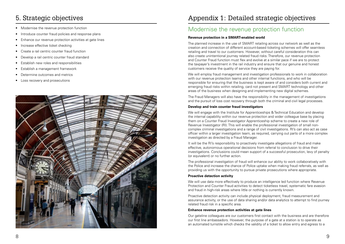- Modernise the revenue protection function
- Introduce counter fraud policies and response plans
- Enhance our revenue protection activities at gate lines
- Increase effective ticket checking
- Create a rail centric counter fraud function
- Develop a rail centric counter fraud standard
- Establish new roles and responsibilities
- Establish a management framework
- Determine outcomes and metrics
- Loss recovery and prosecutions



## 5. Strategic objectives

## Appendix 1: Detailed strategic objectives

### Modernise the revenue protection function

### **Revenue protection in a SMART-enabled world**

The Fraud Managers will also have the responsibility in the management of investigations and the pursuit of loss cost recovery through both the criminal and civil legal processes.

The planned increase in the use of SMART retailing across our network as well as the creation and connection of different account-based ticketing schemes will offer seamless retailing and travel to our customers. However, without careful consideration this can also create unintentional journey related fraud risks. Therefore, our revenue protection and Counter Fraud function must flex and evolve at a similar pace if we are to protect the taxpayer's investment in the rail industry and ensure that our genuine and honest customers receive the quality of service they are paying for.

It will be the RI's responsibility to proactively investigate allegations of fraud and make effective, autonomous operational decisions from referral to conclusion to drive their investigations. Conclusions could mean support of a successful prosecution, levy of penalty (or equivalent) or no further action.

We will employ fraud management and investigation professionals to work in collaboration with our revenue protection teams and other internal functions, and who will be responsible for ensuring that the business is kept aware of and considers both current and emerging fraud risks within retailing, card not present and SMART technology and other areas of the business when designing and implementing new digital schemes.

### **Develop and train counter fraud investigators**

We will engage with the Institute for Apprenticeships & Technical Education and develop the internal capability within our revenue protection and wider colleague base by placing them on a Counter Fraud Investigator Apprenticeship scheme to create a new role of Revenue Investigator (RI). This will enable the professional investigation of small noncomplex criminal investigations and a range of civil investigations. RI's can also act as case officer within a larger investigation team, as required, carrying out parts of a more complex investigation as directed by a Fraud Manager.

The professional investigation of fraud will enhance our ability to work collaboratively with the Police and increase the chance of Police uptake when making fraud referrals, as well as providing us with the opportunity to pursue private prosecutions where appropriate.

#### **Proactive detection activity**

We will use data more effectively to produce an intelligence led function where Revenue Protection and Counter Fraud activities to detect ticketless travel, systematic fare evasion and fraud in high-risk areas where little or nothing is currently known.

Proactive detection activity can include physical deployment, fraud measurement and assurance activity, or the use of data sharing and/or data analytics to attempt to find journey related fraud risk in a specific area.

### **Enhance revenue protection activities at gate lines**

Our gateline colleagues are our customers first contact with the business and are therefore our first line ambassadors. However, the purpose of a gate at a station is to operate as an automated turnstile which checks the validity of a ticket to allow entry and egress to a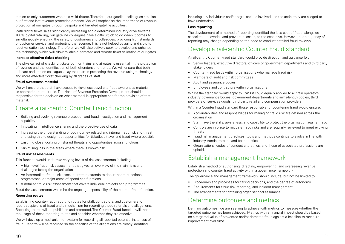station to only customers who hold valid tickets. Therefore, our gateline colleagues are also our first and last revenue protection defence. We will emphasise the importance of revenue protection at our gates through bespoke and targeted gateline activities.

With digital ticket sales significantly increasing and a determined industry drive towards 100% digital retailing, our gateline colleagues have a difficult job to do when it comes to simultaneously ensuring the safety of customers and colleagues, providing high standards of customer service, and protecting the revenue. This is not helped by aging and slow to react validation technology. Therefore, we will also actively seek to develop and enhance the technology which will allow reliable automated and remote ticket validation at our gates.

#### **Increase effective ticket checking**

The physical act of checking tickets both on trains and at gates is essential in the protection of revenue and the identification of both offenders and trends. We will ensure that both onboard and station colleagues play their part in protecting the revenue using technology and more effective ticket checking by all grades of staff.

#### **Fraud awareness material**

We will ensure that staff have access to ticketless travel and fraud awareness material as appropriate to their role. The Head of Revenue Protection Development should be responsible for the decision on what material is appropriate and for the provision of that material.

### Create a rail-centric Counter Fraud function

- Building and evolving revenue protection and fraud investigation and management capability
- Innovating in intelligence sharing and the proactive use of data
- Increasing the understanding of both journey related and internal fraud risk and threat, and using this to design out opportunities for ticketless travel and fraud where possible
- Ensuring close working on shared threats and opportunities across functions
- Minimising loss in the areas where there is known risk.

#### **Fraud risk assessments**

Whilst the standard would apply to GWR it could equally applied to all train operators, industry governance bodies, government departments and arms-length bodies, third providers of services goods, third party retail and compensation providers.

This function would undertake varying levels of risk assessments including:

- A high-level fraud risk assessment that gives an overview of the main risks and challenges facing the organisation
- An intermediate fraud risk assessment that extends to departmental functions, programmes, or major areas of spend and functions
- A detailed fraud risk assessment that covers individual projects and programmes.

Fraud risk assessments would be the ongoing responsibility of the counter fraud function.

#### **Reporting routes**

Establishing counter-fraud reporting routes for staff, contractors, and customers to report suspicions of fraud and a mechanism for recording these referrals and allegations. Reporting routes will be published and promoted. The Counter Fraud function will monitor the usage of these reporting routes and consider whether they are effective.

We will develop a mechanism or system for recording all reported potential instances of fraud. Reports will be recorded so the specifics of the allegations are clearly identified,

including any individuals and/or organisations involved and the act(s) they are alleged to have undertaken.

#### **Loss reporting**

The development of a method of reporting identified the loss cost of fraud, alongside associated recoveries and prevented losses, to the executive. However, the frequency of reporting may change depending on the need to conduct detailed fraud reviews.

### Develop a rail-centric Counter Fraud standard

A rail-centric Counter Fraud standard would provide direction and guidance for:

- Senior leaders, executive directors, officers of government departments and third party stakeholders
- Counter Fraud leads within organisations who manage fraud risk
- Members of audit and risk committees
- Audit and assurance bodies
- Employees and contractors within organisations

Within a Counter Fraud standard those responsible for countering fraud would ensure:

- Accountabilities and responsibilities for managing fraud risk are defined across the organisation
- Staff have the skills, awareness, and capability to protect the organisation against fraud
- Controls are in place to mitigate fraud risks and are regularly reviewed to meet evolving threats
- Fraud risk management practices, tools and methods continue to evolve in line with industry trends, threats, and best practice
- Organisational codes of conduct and ethics, and those of associated professions are upheld.

### Establish a management framework

Establish a method of authorising, directing, empowering, and overseeing revenue protection and counter fraud activity within a governance framework.

The governance and management framework should include, but not be limited to:

- Procedures and processes for taking decisions, and the degree of autonomy
- Requirements for fraud risk reporting, and incident management
- The arrangements for obtaining organisational assurance.

### Determine outcomes and metrics

Defining outcomes, we are seeking to achieve with metrics to measure whether the targeted outcome has been achieved. Metrics with a financial impact should be based on a targeted value of prevented and/or detected fraud against a baseline to measure improvement over time.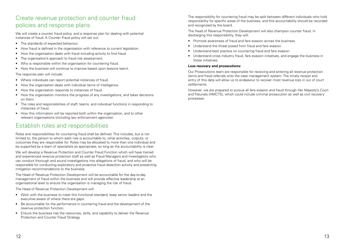### Create revenue protection and counter fraud policies and response plans

We will create a counter fraud policy, and a response plan for dealing with potential instances of fraud. A Counter Fraud policy will set out:

- The standards of expected behaviour.
- How fraud is defined in the organisation with reference to current legislation.
- How the organisation deals with fraud including activity to find fraud.
- The organisation's approach to fraud risk assessment.
- Who is responsible within the organisation for countering fraud.
- How the business will continue to improve based upon lessons learnt.

The response plan will include:

- Where individuals can report potential instances of fraud.
- How the organisation deals with individual items of intelligence.
- How the organisation responds to instances of fraud.
- How the organisation monitors the progress of any investigations, and takes decisions on them.
- The roles and responsibilities of staff, teams, and individual functions in responding to instances of fraud.
- How this information will be reported both within the organisation, and to other relevant organisations (including law enforcement agencies).

### Establish roles and responsibilities

Roles and responsibilities for countering fraud shall be defined. This includes, but is not limited to, the person to whom each role is accountable to, what activities, outputs, or outcomes they are responsible for. Roles may be allocated to more than one individual and be supported by a team of specialists as appropriate, so long as the accountability is clear.

We will develop a Revenue Protection and Counter Fraud Function which will have trained and experienced revenue protection staff as well as Fraud Managers and Investigators who can conduct thorough and sound investigations into allegations of fraud, and who will be responsible for conducting exploratory and proactive fraud detection activity and presenting mitigation recommendations to the business.

The Head of Revenue Protection Development will be accountable for the day-to-day management of fraud within the business and will provide effective leadership at an organisational level to ensure the organisation is managing the risk of fraud.

The Head of Revenue Protection Development will:

- Work with the business to meet this functional standard, keep senior leaders and the executive aware of where there are gaps.
- Be accountable for the performance in countering fraud and the development of the revenue protection function.
- Ensure the business has the resources, skills, and capability to deliver the Revenue Protection and Counter Fraud Strategy.

The responsibility for countering fraud may be split between different individuals who hold responsibility for specific areas of the business, and this accountability should be recorded and recognised by the board.

The Head of Revenue Protection Development will also champion counter fraud. In discharging this responsibility, they will:

- Promote awareness of fraud and fare evasion across the business
- Understand the threat posed from fraud and fare evasion
- Understand best practice on countering fraud and fare evasion
- Understand cross industry fraud, fare evasion initiatives, and engage the business in those initiatives.

#### **Loss recovery and prosecutions:**

Our Prosecutions team are responsible for receiving and entering all revenue protection items and fraud referrals onto the case management system. The timely receipt and entry of this data will allow us to endeavour to recover most revenue loss in out of court settlements.

However, we are prepared to pursue all fare evasion and fraud through Her Majesty's Court and Tribunals (HMCTS), which could include criminal prosecution as well as civil recovery processes.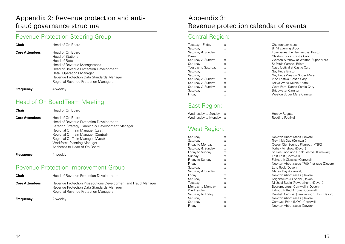### Appendix 2: Revenue protection and antifraud governance structure

### Revenue Protection Steering Group

| <b>Chair</b>          | Head of On Board                                                                                                                                                                                                                                                             |
|-----------------------|------------------------------------------------------------------------------------------------------------------------------------------------------------------------------------------------------------------------------------------------------------------------------|
| <b>Core Attendees</b> | Head of On Board<br><b>Head of Stations</b><br><b>Head of Retail</b><br>Head of Revenue Management<br>Head of Revenue Protection Development<br><b>Retail Operations Manager</b><br>Revenue Protection Data Standards Manager<br><b>Regional Revenue Protection Managers</b> |
| <b>Frequency</b>      | 4 weekly                                                                                                                                                                                                                                                                     |

### Head of On Board Team Meeting

| <b>Chair</b>          | Head of Revenue Protection Development                                                                                                                    |
|-----------------------|-----------------------------------------------------------------------------------------------------------------------------------------------------------|
| <b>Core Attendees</b> | Revenue Protection Prosecutions Development and Fraud Manager<br>Revenue Protection Data Standards Manager<br><b>Regional Revenue Protection Managers</b> |
| <b>Frequency</b>      | 2 weekly                                                                                                                                                  |

| <b>Chair</b>          | Head of On Board                                                                                                                                                                                                                                                                             |
|-----------------------|----------------------------------------------------------------------------------------------------------------------------------------------------------------------------------------------------------------------------------------------------------------------------------------------|
| <b>Core Attendees</b> | Head of On Board<br>Head of Revenue Protection Development<br>Catering Strategy Planning & Development Manager<br>Regional On Train Manager (East)<br>Regional On Train Manager (Central)<br>Regional On Train Manager (West)<br>Workforce Planning Manager<br>Assistant to Head of On Board |

**Frequency** 4 weekly

### Revenue Protection Improvement Group

### Appendix 3: Revenue protection calendar of events

### Central Region:

| Tuesday – Friday    | X | Cheltenham races            |
|---------------------|---|-----------------------------|
| Saturday            | X | <b>BTM Evening Block</b>    |
| Saturday & Sunday   | X | Love saves the day I        |
| Week                | X | Glastonbury at Castl        |
| Saturday & Sunday   | X | Weston Airshow at \         |
| Saturday            | X | St Pauls Carnival Bri       |
| Tuesday to Saturday | X | Nass festival at Cast       |
| Saturday            | X | Gay Pride Bristol           |
| Saturday            | X | Gay Pride Weston S          |
| Saturday & Sunday   | X | <b>Vibe Festival Castle</b> |
| Saturday & Sunday   | X | <b>Tokyo World Music I</b>  |
| Saturday & Sunday   | X | West Feat-Dance C           |
| Saturday            | X | Bridgwater Carnival         |
| Friday              | X | <b>Weston Super Mare</b>    |

## East Region:

| Wednesday to Sunday | X  |
|---------------------|----|
| Wednesday to Monday | X. |

### West Region:

| Saturday           | Χ |
|--------------------|---|
| Saturday           | X |
| Friday to Monday   | X |
| Saturday & Sunday  | X |
| Friday to Sunday   | X |
| Sunday             | X |
| Friday to Sunday   | X |
| Friday             | X |
| Saturday           | X |
| Saturday & Sunday  | X |
| Friday             | X |
| Saturday           | X |
| Tuesday            | X |
| Monday to Monday   | X |
| Wednesday          | X |
| Saturday to Friday | X |
| Saturday           | X |
| Saturday           | X |
| Friday             | X |
|                    |   |

Cheltenham races Saturday & Sunday  $\overline{x}$  x and  $\overline{x}$  Love saves the day Festival Bristol Week X X X Glastonbury at Castle Cary Weston Airshow at Weston Super Mare St Pauls Carnival Bristol Nass festival at Castle Cary Gay Pride Bristol Gay Pride Weston Super Mare Vibe Festival Castle Cary Tokyo World Music Bristol West Feat- Dance Castle Cary **Bridgwater Carnival** Weston Super Mare Carnival

> Henley Regatta **Reading Festival**

Newton Abbot races (Devon) Trevithick Day (Cornwall) Ocean City Sounds Plymouth (TBC) Torbay Air show (Devon) St Ives Food and Drink Festival (Cornwall) Lost Fest (Cornwall) Falmouth Classics (Cornwall) Newton Abbot races 1700 first race (Devon) Lets Rock (Devon) Mazey Day (Cornwall) Newton Abbot races (Devon) Teignmouth Air show (Devon) Michael Bublé (Powderham) (Devon) Boardmasters (Cornwall + Devon) Falmouth Red Arrows (Cornwall) Dawlish Carnival (carnival night tbc) (Devon) Newton Abbot races (Devon) Cornwall Pride (NQY) (Cornwall) Newton Abbot races (Devon)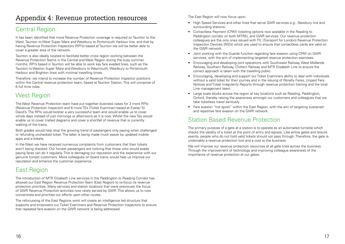### Central Region

It has been identified that more Revenue Protection coverage is required on Taunton to the West, Taunton to West Super Mare and Westbury to Portsmouth Harbour line, and that by having Revenue Protection Inspectors (RPI's) based at Taunton we will be better able to cover a greater area of the network.

Taunton is also ideally located to facilitate better cross region working between the Revenue Protection Teams in the Central and West Region during the busy summer months. RPI's based in Taunton will be able to work key fare evaded lines, such as the Taunton to Weston Super Mare and Westbury to Weymouth, Westbury to Portsmouth Harbour and Brighton lines with minimal travelling times.

Therefore, we intend to increase the number of Revenue Protection Inspector positions within the Central revenue protection team, based at Taunton Station. This will comprise of 6 full time roles.

### West Region

The West Revenue Protection team have put together business cases for 3 more RPIs (Revenue Protection Inspector) and 6 more TEs (Ticket Examiner) based at Exeter St David's. The RPIs would bolster a very successful team and would enable us to cover whole days instead of just mornings or afternoons as it is now. Whilst the new Tes would enable us to cover trialled diagrams and cover a shortfall of revenue that is currently walking of the trains.

Both grades would help stop the growing trend of passengers only paying when challenged or refunding unchecked ticket. The latter is being made much easier by updated mobile apps and e-tickets.

In the West we have received numerous complaints from customers that their tickets aren't being checked. Our honest passengers are noticing that those who would evade paying fares can do it regularly. This is damaging our reputation and the experience with our genuine honest customers. More colleagues on board trains would help us improve our reputation and enhance the customer experience.

### East Region

The introduction of MTR Elizabeth Line services in the Paddington to Reading Corridor has allowed our East Region Revenue Protection Team (East Region) to re-focus its revenue protection priorities. Many services and station locations that were previously the focus of GWR Revenue Protection activities now rarely served by GWR. This allows us to now concentrate and priorities our efforts upon other routes.

We will improve our revenue protection resources at all gate lines across the business. Through the improvement of technology and improving colleague awareness of the importance of revenue protection at our gates.

The refocussing of the East Regions work will create an intelligence led structure that supports and empowers our Ticket Examiners and Revenue Protection Inspectors to ensure that repeated fare evasion on the GWR network is being addressed.

The East Region will now focus upon:

- High Speed Services and other lines that serve GWR services e.g., Newbury line and surrounding stations.
- Contactless Payment (CPAY) ticketing options now available in the Reading to Paddington corridor on both MTREL and GWR services. Our revenue protection colleagues are the only ones issued with TfL (Transport for London) Revenue Protection Inspection Devices (RIDs) which are used to ensure that contactless cards are valid on the GWR network.
- Joint working with the Guards function regarding fare evasion using CPAY on GWR services, with the aim of implementing targeted revenue protection exercises.
- Encouraging and developing joint operations with Southwest Railway, West Midlands Railway, Southern Railway, Chiltern Railway and MTR Elizabeth Line to ensure the correct approach is taken with the travelling public.
- Encouraging, developing and support our Ticket Examiners ability to deal with individuals without a valid ticket for their journey and in the issuing of Penalty Fares, Unpaid Fare Notices and Ticket Irregularity Reports through revenue protection training and the local Line management team.
- Large scale blocks across the region at key locations such as Reading, Paddington, Oxford, thereby raising the awareness amongst our customers and colleagues that we take ticketless travel seriously.
- Fare evasion "hot spots" within the East Region, with the aim of targeting sustained and repetitive fare evasion on the GWR network.

### Station Based Revenue Protection

The primary purpose of a gate at a station is to operate as an automated turnstile which checks the validity of a ticket at the point of entry and egress. Like airline gates and leisure events, people who do not hold valid tickets should not pass through. Therefore, the gate is undeniably a revenue protection tool and a cost to the business.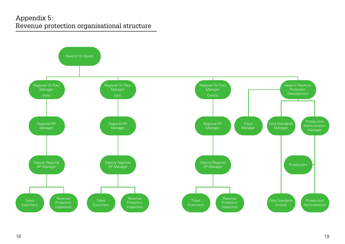### Appendix 5: Revenue protection organisational structure